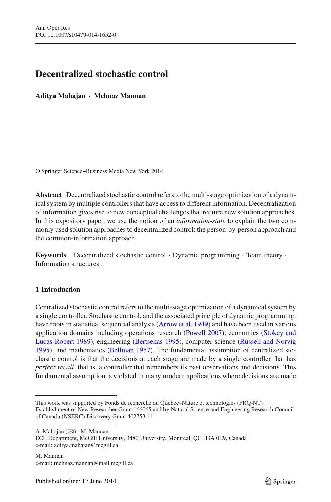# **Decentralized stochastic control**

**Aditya Mahajan** · **Mehnaz Mannan**

© Springer Science+Business Media New York 2014

**Abstract** Decentralized stochastic control refers to the multi-stage optimization of a dynamical system by multiple controllers that have access to different information. Decentralization of information gives rise to new conceptual challenges that require new solution approaches. In this expository paper, we use the notion of an *information-state* to explain the two commonly used solution approaches to decentralized control: the person-by-person approach and the common-information approach.

**Keywords** Decentralized stochastic control · Dynamic programming · Team theory · Information structures

# **1 Introduction**

Centralized stochastic control refers to the multi-stage optimization of a dynamical system by a single controller. Stochastic control, and the associated principle of dynamic programming, have roots in statistical sequential analysis [\(Arrow et al. 1949](#page-16-0)) and have been used in various application d[omains including operations research](#page-17-1) [\(Powell 2007](#page-17-0)[\), economics \(](#page-17-1)Stokey and Lucas Robert [1989](#page-17-1)), engineering [\(Bertsekas 1995\)](#page-16-1), computer science [\(Russell and Norvig](#page-17-2) [1995](#page-17-2)), and mathematics [\(Bellman 1957\)](#page-16-2). The fundamental assumption of centralized stochastic control is that the decisions at each stage are made by a single controller that has *perfect recall*, that is, a controller that remembers its past observations and decisions. This fundamental assumption is violated in many modern applications where decisions are made

A. Mahajan  $(\boxtimes) \cdot M$ . Mannan

This work was supported by Fonds de recherche du Québec–Nature et technologies (FRQ-NT) Establishment of New Researcher Grant 166065 and by Natural Science and Engineering Research Council of Canada (NSERC) Discovery Grant 402753-11.

ECE Department, McGill University, 3480 University, Montreal, QC H3A 0E9, Canada e-mail: aditya.mahajan@mcgill.ca

M. Mannan e-mail: mehnaz.mannan@mail.mcgill.ca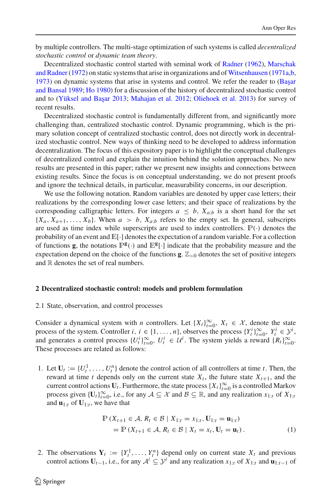by multiple controllers. The multi-stage optimization of such systems is called *decentralized stochastic control* or *dynamic team theory*.

Decentr[alized stochastic control started with seminal work of](#page-17-4) [Radner](#page-17-3) [\(1962\)](#page-17-3), Marschak and Radner [\(1972](#page-17-4)) on static systems that arise in organizations and of [Witsenhausen](#page-17-5) [\(1971a](#page-17-5)[,b,](#page-17-6) [1973](#page-17-7)) on [dynamic systems that arise in systems and control. We refer the reader to \(](#page-16-3)Başar and Bansal [1989;](#page-16-3) [Ho 1980\)](#page-16-4) for a discussion of the history of decentralized stochastic control and to (Yüksel and Başar 2013; [Mahajan et al. 2012;](#page-16-5) [Oliehoek et al. 2013\)](#page-17-9) for survey of recent results.

Decentralized stochastic control is fundamentally different from, and significantly more challenging than, centralized stochastic control. Dynamic programming, which is the primary solution concept of centralized stochastic control, does not directly work in decentralized stochastic control. New ways of thinking need to be developed to address information decentralization. The focus of this expository paper is to highlight the conceptual challenges of decentralized control and explain the intuition behind the solution approaches. No new results are presented in this paper; rather we present new insights and connections between existing results. Since the focus is on conceptual understanding, we do not present proofs and ignore the technical details, in particular, measurability concerns, in our description.

We use the following notation. Random variables are denoted by upper case letters; their realizations by the corresponding lower case letters; and their space of realizations by the corresponding calligraphic letters. For integers  $a \leq b$ ,  $X_{a:b}$  is a short hand for the set  $\{X_a, X_{a+1}, \ldots, X_b\}$ . When  $a > b$ ,  $X_{a:b}$  refers to the empty set. In general, subscripts are used as time index while superscripts are used to index controllers.  $\mathbb{P}(\cdot)$  denotes the probability of an event and  $\mathbb{E}[\cdot]$  denotes the expectation of a random variable. For a collection of functions **g**, the notations  $\mathbb{P}^{\mathbf{g}}(\cdot)$  and  $\mathbb{E}^{\mathbf{g}}[\cdot]$  indicate that the probability measure and the expectation depend on the choice of the functions **g**.  $\mathbb{Z}_{>0}$  denotes the set of positive integers and  $\mathbb R$  denotes the set of real numbers.

## **2 Decentralized stochastic control: models and problem formulation**

#### 2.1 State, observation, and control processes

Consider a dynamical system with *n* controllers. Let  $\{X_t\}_{t=0}^{\infty}$ ,  $X_t \in \mathcal{X}$ , denote the state process of the system. Controller *i*,  $i \in \{1, ..., n\}$ , observes the process  $\{Y_t^i\}_{t=0}^{\infty}$ ,  $Y_t^i \in \mathcal{Y}^i$ , and generates a control process  $\{U_t^i\}_{t=0}^{\infty}$ ,  $U_t^i \in \mathcal{U}^i$ . The system yields a reward  $\{R_t\}_{t=0}^{\infty}$ . These processes are related as follows:

1. Let  $U_t := \{U_t^1, \ldots, U_t^n\}$  denote the control action of all controllers at time *t*. Then, the reward at time *t* depends only on the current state  $X_t$ , the future state  $X_{t+1}$ , and the current control actions  $U_t$ . Furthermore, the state process  $\{X_t\}_{t=0}^{\infty}$  is a controlled Markov process given  $\{U_t\}_{t=0}^{\infty}$ , i.e., for any  $A \subseteq \mathcal{X}$  and  $\mathcal{B} \subseteq \mathbb{R}$ , and any realization  $x_{1:t}$  of  $X_{1:t}$ and  $\mathbf{u}_{1:t}$  of  $\mathbf{U}_{1:t}$ , we have that

$$
\mathbb{P}\left(X_{t+1} \in \mathcal{A}, R_t \in \mathcal{B} \mid X_{1:t} = x_{1:t}, \mathbf{U}_{1:t} = \mathbf{u}_{1:t}\right) \\
= \mathbb{P}\left(X_{t+1} \in \mathcal{A}, R_t \in \mathcal{B} \mid X_t = x_t, \mathbf{U}_t = \mathbf{u}_t\right).
$$
\n(1)

<span id="page-1-0"></span>2. The observations  $Y_t := \{Y_t^1, \ldots, Y_t^n\}$  depend only on current state  $X_t$  and previous control actions  $U_{t-1}$ , i.e., for any  $A^i \subseteq \mathcal{Y}^i$  and any realization  $x_{1:t}$  of  $X_{1:t}$  and  $u_{1:t-1}$  of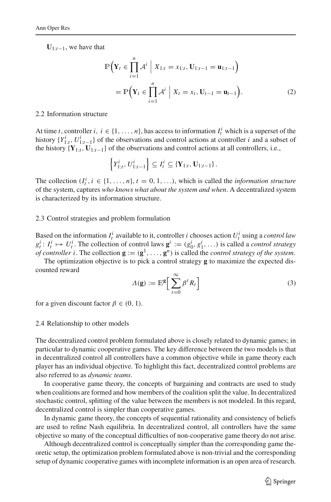<span id="page-2-0"></span>**U**1:*t*−1, we have that

$$
\mathbb{P}\Big(\mathbf{Y}_{t} \in \prod_{i=1}^{n} \mathcal{A}^{i} \Big| X_{1:t} = x_{1:t}, \mathbf{U}_{1:t-1} = \mathbf{u}_{1:t-1} \Big) \n= \mathbb{P}\Big(\mathbf{Y}_{t} \in \prod_{i=1}^{n} \mathcal{A}^{i} \Big| X_{t} = x_{t}, \mathbf{U}_{t-1} = \mathbf{u}_{t-1} \Big).
$$
\n(2)

#### 2.2 Information structure

At time *t*, controller *i*,  $i \in \{1, ..., n\}$ , has access to information  $I_t^i$  which is a superset of the history  $\{Y_{1:t}^i, U_{1:t-1}^i\}$  of the observations and control actions at controller *i* and a subset of the history  ${\bf Y}_{1:t}, {\bf U}_{1:t-1}$  of the observations and control actions at all controllers, i.e.,

$$
\left\{Y_{1:t}^i, U_{1:t-1}^i\right\} \subseteq I_t^i \subseteq \left\{Y_{1:t}, \mathbf{U}_{1:t-1}\right\}.
$$

The collection  $(I_t^i, i \in \{1, ..., n\}, t = 0, 1, ...$ , which is called the *information structure* of the system, captures *who knows what about the system and when*. A decentralized system is characterized by its information structure.

## 2.3 Control strategies and problem formulation

Based on the information  $I_t^i$  available to it, controller *i* chooses action  $U_t^i$  using a *control law*  $g_t^i$ :  $I_t^i \mapsto U_t^i$ . The collection of control laws  $\mathbf{g}^i := (g_0^i, g_1^i, \ldots)$  is called a *control strategy of controller i*. The collection  $\mathbf{g} := (\mathbf{g}^1, \dots, \mathbf{g}^n)$  is called the *control strategy of the system*.

The optimization objective is to pick a control strategy **g** to maximize the expected discounted reward

$$
\Lambda(\mathbf{g}) := \mathbb{E}^{\mathbf{g}} \Big[ \sum_{t=0}^{\infty} \beta^t R_t \Big] \tag{3}
$$

for a given discount factor  $\beta \in (0, 1)$ .

#### 2.4 Relationship to other models

The decentralized control problem formulated above is closely related to dynamic games; in particular to dynamic cooperative games. The key difference between the two models is that in decentralized control all controllers have a common objective while in game theory each player has an individual objective. To highlight this fact, decentralized control problems are also referred to as *dynamic teams*.

In cooperative game theory, the concepts of bargaining and contracts are used to study when coalitions are formed and how members of the coalition split the value. In decentralized stochastic control, splitting of the value between the members is not modeled. In this regard, decentralized control is simpler than cooperative games.

In dynamic game theory, the concepts of sequential rationality and consistency of beliefs are used to refine Nash equilibria. In decentralized control, all controllers have the same objective so many of the conceptual difficulties of non-cooperative game theory do not arise.

Although decentralized control is conceptually simpler than the corresponding game theoretic setup, the optimization problem formulated above is non-trivial and the corresponding setup of dynamic cooperative games with incomplete information is an open area of research.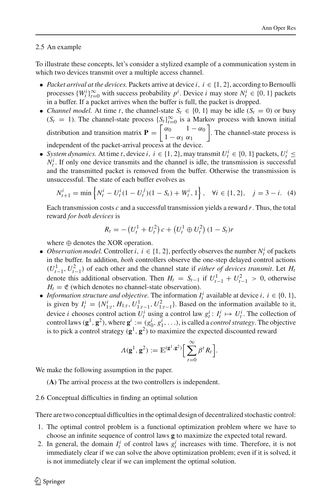## <span id="page-3-1"></span>2.5 An example

To illustrate these concepts, let's consider a stylized example of a communication system in which two devices transmit over a multiple access channel.

- *Packet arrival at the devices.* Packets arrive at device  $i, i \in \{1, 2\}$ , according to Bernoulli processes  $\{W_t^i\}_{t=0}^{\infty}$  with success probability  $p^i$ . Device *i* may store  $N_t^i \in \{0, 1\}$  packets in a buffer. If a packet arrives when the buffer is full, the packet is dropped.
- *Channel model.* At time *t*, the channel-state  $S_t \in \{0, 1\}$  may be idle  $(S_t = 0)$  or busy  $(S_t = 1)$ . The channel-state process  $\{S_t\}_{t=0}^{\infty}$  is a Markov process with known initial distribution and transition matrix  $\mathbf{P} = \begin{bmatrix} \alpha_0 & 1 - \alpha_0 \\ 1 & \alpha_1 & \alpha_2 \end{bmatrix}$  $1 - \alpha_1 \alpha_1$  . The channel-state process is

independent of the packet-arrival process at the device.

• *System dynamics.* At time *t*, device *i*,  $i \in \{1, 2\}$ , may transmit  $U_t^i \in \{0, 1\}$  packets,  $U_t^i \leq$  $N_t^i$ . If only one device transmits and the channel is idle, the transmission is successful and the transmitted packet is removed from the buffer. Otherwise the transmission is unsuccessful. The state of each buffer evolves as

$$
N_{t+1}^i = \min\left\{N_t^i - U_t^i(1 - U_t^j)(1 - S_t) + W_t^i, 1\right\}, \quad \forall i \in \{1, 2\}, \quad j = 3 - i. \tag{4}
$$

Each transmission costs *c* and a successful transmission yields a reward *r*. Thus, the total reward *for both devices* is

$$
R_t = -\left(U_t^1 + U_t^2\right)c + \left(U_t^1 \oplus U_t^2\right)(1 - S_t)r
$$

where  $\oplus$  denotes the XOR operation.

- *Observation model.* Controller *i*,  $i \in \{1, 2\}$ , perfectly observes the number  $N_t^i$  of packets in the buffer. In addition, *both* controllers observe the one-step delayed control actions  $(U_{t-1}^1, U_{t-1}^2)$  of each other and the channel state if *either of devices transmit*. Let *H<sub>i</sub>* denote this additional observation. Then  $H_t = S_{t-1}$  if  $U_{t-1}^1 + U_{t-1}^2 > 0$ , otherwise  $H_t = \mathfrak{E}$  (which denotes no channel-state observation).
- *Information structure and objective.* The information  $I_t^i$  available at device  $i, i \in \{0, 1\}$ , is given by  $I_t^i = \{N_{1:t}^i, H_{1:t}, U_{1:t-1}^1, U_{1:t-1}^2\}$ . Based on the information available to it, device *i* chooses control action  $U_t^i$  using a control law  $g_t^i: I_t^i \mapsto U_t^i$ . The collection of control laws ( $\mathbf{g}^1$ ,  $\mathbf{g}^2$ ), where  $\mathbf{g}^i$  := ( $g_0^i$ ,  $g_1^i$ , ...), is called a *control strategy*. The objective is to pick a control strategy  $(g<sup>1</sup>, g<sup>2</sup>)$  to maximize the expected discounted reward

$$
\Lambda(\mathbf{g}^1, \mathbf{g}^2) := \mathbb{E}^{(\mathbf{g}^1, \mathbf{g}^2)} \Big[ \sum_{t=0}^{\infty} \beta^t R_t \Big].
$$

We make the following assumption in the paper.

(**A**) The arrival process at the two controllers is independent.

<span id="page-3-0"></span>2.6 Conceptual difficulties in finding an optimal solution

There are two conceptual difficulties in the optimal design of decentralized stochastic control:

- 1. The optimal control problem is a functional optimization problem where we have to choose an infinite sequence of control laws **g** to maximize the expected total reward.
- 2. In general, the domain  $I_t^i$  of control laws  $g_t^i$  increases with time. Therefore, it is not immediately clear if we can solve the above optimization problem; even if it is solved, it is not immediately clear if we can implement the optimal solution.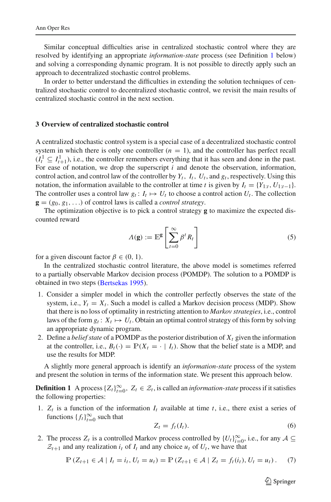Similar conceptual difficulties arise in centralized stochastic control where they are resolved by identifying an appropriate *information-state* process (see Definition [1](#page-4-0) below) and solving a corresponding dynamic program. It is not possible to directly apply such an approach to decentralized stochastic control problems.

In order to better understand the difficulties in extending the solution techniques of centralized stochastic control to decentralized stochastic control, we revisit the main results of centralized stochastic control in the next section.

## **3 Overview of centralized stochastic control**

A centralized stochastic control system is a special case of a decentralized stochastic control system in which there is only one controller  $(n = 1)$ , and the controller has perfect recall  $(I_t^1 \subseteq I_{t+1}^1)$ , i.e., the controller remembers everything that it has seen and done in the past. For ease of notation, we drop the superscript *i* and denote the observation, information, control action, and control law of the controller by  $Y_t$ ,  $I_t$ ,  $U_t$ , and  $g_t$ , respectively. Using this notation, the information available to the controller at time *t* is given by  $I_t = \{Y_{1:t}, U_{1:t-1}\}.$ The controller uses a control law  $g_t: I_t \mapsto U_t$  to choose a control action  $U_t$ . The collection  **of control laws is called a** *control strategy***.** 

The optimization objective is to pick a control strategy **g** to maximize the expected discounted reward

$$
\Lambda(\mathbf{g}) := \mathbb{E}^{\mathbf{g}} \left[ \sum_{t=0}^{\infty} \beta^t R_t \right] \tag{5}
$$

for a given discount factor  $\beta \in (0, 1)$ .

In the centralized stochastic control literature, the above model is sometimes referred to a partially observable Markov decision process (POMDP). The solution to a POMDP is obtained in two steps [\(Bertsekas 1995\)](#page-16-1).

- 1. Consider a simpler model in which the controller perfectly observes the state of the system, i.e.,  $Y_t = X_t$ . Such a model is called a Markov decision process (MDP). Show that there is no loss of optimality in restricting attention to *Markov strategies*, i.e., control laws of the form  $g_t: X_t \mapsto U_t$ . Obtain an optimal control strategy of this form by solving an appropriate dynamic program.
- 2. Define a *belief state* of a POMDP as the posterior distribution of  $X_t$  given the information at the controller, i.e.,  $B_t(\cdot) = \mathbb{P}(X_t = \cdot | I_t)$ . Show that the belief state is a MDP, and use the results for MDP.

<span id="page-4-0"></span>A slightly more general approach is identify an *information-state* process of the system and present the solution in terms of the information state. We present this approach below.

**Definition 1** A process  $\{Z_t\}_{t=0}^{\infty}$ ,  $Z_t \in \mathcal{Z}_t$ , is called an *information-state* process if it satisfies the following properties:

1.  $Z_t$  is a function of the information  $I_t$  available at time  $t$ , i.e., there exist a series of functions  ${f_t}_{t=0}^\infty$  such that

$$
Z_t = f_t(I_t). \tag{6}
$$

<span id="page-4-1"></span>2. The process  $Z_t$  is a controlled Markov process controlled by  $\{U_t\}_{t=0}^{\infty}$ , i.e., for any  $A \subseteq$  $Z_{t+1}$  and any realization  $i_t$  of  $I_t$  and any choice  $u_t$  of  $U_t$ , we have that

$$
\mathbb{P}\left(Z_{t+1} \in \mathcal{A} \mid I_t = i_t, U_t = u_t\right) = \mathbb{P}\left(Z_{t+1} \in \mathcal{A} \mid Z_t = f_t(i_t), U_t = u_t\right). \tag{7}
$$

 $\circled{2}$  Springer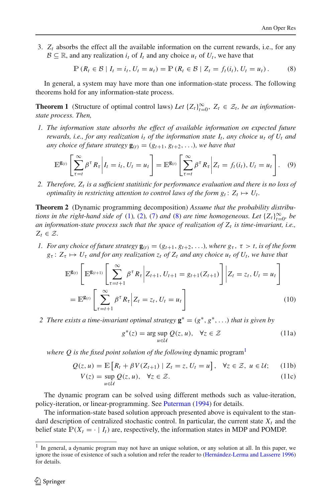3.  $Z_t$  absorbs the effect all the available information on the current rewards, i.e., for any  $B \subseteq \mathbb{R}$ , and any realization  $i_t$  of  $I_t$  and any choice  $u_t$  of  $U_t$ , we have that

$$
\mathbb{P}\left(R_t \in \mathcal{B} \mid I_t = i_t, U_t = u_t\right) = \mathbb{P}\left(R_t \in \mathcal{B} \mid Z_t = f_t(i_t), U_t = u_t\right). \tag{8}
$$

<span id="page-5-6"></span><span id="page-5-0"></span>In general, a system may have more than one information-state process. The following theorems hold for any information-state process.

**Theorem 1** (Structure of optimal control laws) *Let*  $\{Z_t\}_{t=0}^{\infty}$ ,  $Z_t \in \mathcal{Z}_t$ , *be an informationstate process. Then,*

*1. The information state absorbs the effect of available information on expected future rewards, i.e., for any realization i<sup>t</sup> of the information state I<sup>t</sup> , any choice u<sup>t</sup> of U<sup>t</sup> and any choice of future strategy*  $\mathbf{g}_{(t)} = (g_{t+1}, g_{t+2}, \ldots)$ *, we have that* 

$$
\mathbb{E}^{\mathbf{g}_{(t)}}\left[\sum_{\tau=t}^{\infty}\beta^{\tau}R_{\tau}\bigg|I_{t}=i_{t}, U_{t}=u_{t}\right]=\mathbb{E}^{\mathbf{g}_{(t)}}\left[\sum_{\tau=t}^{\infty}\beta^{\tau}R_{\tau}\bigg|Z_{t}=f_{t}(i_{t}), U_{t}=u_{t}\right].
$$
 (9)

<span id="page-5-2"></span>*2. Therefore, Z<sup>t</sup> is a sufficient statitistic for performance evaluation and there is no loss of optimality in restricting attention to control laws of the form*  $g_t \colon Z_t \mapsto U_t$ *.* 

<span id="page-5-7"></span>**Theorem 2** (Dynamic programming decomposition) *Assume that the probability distributions in the right-hand side of* [\(1\)](#page-1-0)*,* [\(2\)](#page-2-0)*,* [\(7\)](#page-4-1) *and* [\(8\)](#page-5-0) *are time homogeneous. Let*  $\{Z_t\}_{t=0}^{\infty}$ *, be an information-state process such that the space of realization of Z<sup>t</sup> is time-invariant, i.e.,*  $Z_t \in \mathcal{Z}$ *.* 

<span id="page-5-3"></span>*1. For any choice of future strategy*  $\mathbf{g}_{(t)} = (g_{t+1}, g_{t+2}, \ldots)$ *, where*  $g_{\tau}$ *,*  $\tau > t$ *, is of the form*  $g_{\tau}$ :  $Z_{\tau} \mapsto U_{\tau}$  *and for any realization*  $z_t$  *of*  $Z_t$  *and any choice*  $u_t$  *of*  $U_t$ *, we have that* 

$$
\mathbb{E}^{\mathbf{g}_{(t)}} \left[ \mathbb{E}^{\mathbf{g}_{(t+1)}} \left[ \sum_{\tau=t+1}^{\infty} \beta^{\tau} R_{\tau} \middle| Z_{t+1}, U_{t+1} = g_{t+1}(Z_{t+1}) \right] \middle| Z_t = z_t, U_t = u_t \right]
$$
  
= 
$$
\mathbb{E}^{\mathbf{g}_{(t)}} \left[ \sum_{\tau=t+1}^{\infty} \beta^{\tau} R_{\tau} \middle| Z_t = z_t, U_t = u_t \right]
$$
(10)

*2* There exists a time-invariant optimal strategy  $\mathbf{g}^* = (g^*, g^*, \ldots)$  that is given by

$$
g^*(z) = \arg \sup_{u \in \mathcal{U}} Q(z, u), \quad \forall z \in \mathcal{Z}
$$
 (11a)

<span id="page-5-5"></span><span id="page-5-4"></span>*where Q is the fixed point solution of the following* dynamic program<sup>[1](#page-5-1)</sup>

$$
Q(z, u) = \mathbb{E}\left[R_t + \beta V(Z_{t+1}) \mid Z_t = z, U_t = u\right], \quad \forall z \in \mathcal{Z}, \ u \in \mathcal{U}; \quad (11b)
$$

$$
V(z) = \sup_{u \in \mathcal{U}} Q(z, u), \quad \forall z \in \mathcal{Z}.
$$
 (11c)

The dynamic program can be solved using different methods such as value-iteration, policy-iteration, or linear-programming. See [Puterman](#page-17-10) [\(1994\)](#page-17-10) for details.

The information-state based solution approach presented above is equivalent to the standard description of centralized stochastic control. In particular, the current state  $X_t$  and the belief state  $P(X_t = \cdot | I_t)$  are, respectively, the information states in MDP and POMDP.

<span id="page-5-1"></span><sup>&</sup>lt;sup>1</sup> In general, a dynamic program may not have an unique solution, or any solution at all. In this paper, we ignore the issue of existence of such a solution and refer the reader to [\(Hernández-Lerma and Lasserre 1996](#page-16-6)) for details.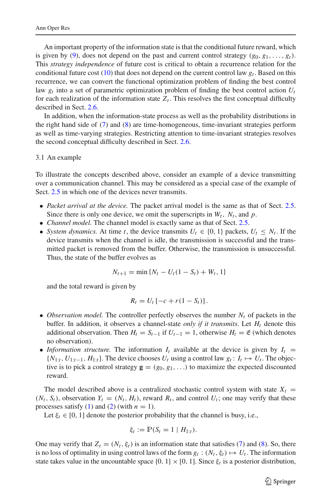An important property of the information state is that the conditional future reward, which is given by [\(9\)](#page-5-2), does not depend on the past and current control strategy  $(g_0, g_1, \ldots, g_t)$ . This *strategy independence* of future cost is critical to obtain a recurrence relation for the conditional future cost [\(10\)](#page-5-3) that does not depend on the current control law *g<sup>t</sup>* . Based on this recurrence, we can convert the functional optimization problem of finding the best control law *g<sup>t</sup>* into a set of parametric optimization problem of finding the best control action *U<sup>t</sup>* for each realization of the information state  $Z_t$ . This resolves the first conceptual difficulty described in Sect. [2.6.](#page-3-0)

In addition, when the information-state process as well as the probability distributions in the right hand side of [\(7\)](#page-4-1) and [\(8\)](#page-5-0) are time-homogeneous, time-invariant strategies perform as well as time-varying strategies. Restricting attention to time-invariant strategies resolves the second conceptual difficulty described in Sect. [2.6.](#page-3-0)

#### 3.1 An example

To illustrate the concepts described above, consider an example of a device transmitting over a communication channel. This may be considered as a special case of the example of Sect. [2.5](#page-3-1) in which one of the devices never transmits.

- *Packet arrival at the device*. The packet arrival model is the same as that of Sect. [2.5.](#page-3-1) Since there is only one device, we omit the superscripts in  $W_t$ ,  $N_t$ , and  $p$ .
- *Channel model.* The channel model is exactly same as that of Sect. [2.5.](#page-3-1)
- *System dynamics*. At time *t*, the device transmits  $U_t \in \{0, 1\}$  packets,  $U_t \leq N_t$ . If the device transmits when the channel is idle, the transmission is successful and the transmitted packet is removed from the buffer. Otherwise, the transmission is unsuccessful. Thus, the state of the buffer evolves as

$$
N_{t+1} = \min \{ N_t - U_t (1 - S_t) + W_t, 1 \}
$$

and the total reward is given by

$$
R_t = U_t [-c + r(1 - S_t)].
$$

- *Observation model*. The controller perfectly observes the number  $N_t$  of packets in the buffer. In addition, it observes a channel-state *only if it transmits*. Let *H<sup>t</sup>* denote this additional observation. Then  $H_t = S_{t-1}$  if  $U_{t-1} = 1$ , otherwise  $H_t = \mathfrak{E}$  (which denotes no observation).
- *Information structure.* The information  $I_t$  available at the device is given by  $I_t$  =  ${N_{1:t}, U_{1:t-1}, H_{1:t}}$ . The device chooses  $U_t$  using a control law  $g_t: I_t \mapsto U_t$ . The objective is to pick a control strategy  $\mathbf{g} = (g_0, g_1, \ldots)$  to maximize the expected discounted reward.

The model described above is a centralized stochastic control system with state  $X_t$  =  $(N_t, S_t)$ , observation  $Y_t = (N_t, H_t)$ , reward  $R_t$ , and control  $U_t$ ; one may verify that these processes satisfy  $(1)$  and  $(2)$  (with  $n = 1$ ).

Let  $\xi_t \in [0, 1]$  denote the posterior probability that the channel is busy, i.e.,

$$
\xi_t := \mathbb{P}(S_t = 1 \mid H_{1:t}).
$$

One may verify that  $Z_t = (N_t, \xi_t)$  is an information state that satisfies [\(7\)](#page-4-1) and [\(8\)](#page-5-0). So, there is no loss of optimality in using control laws of the form  $g_t : (N_t, \xi_t) \mapsto U_t$ . The information state takes value in the uncountable space  $\{0, 1\} \times [0, 1]$ . Since  $\xi_t$  is a posterior distribution,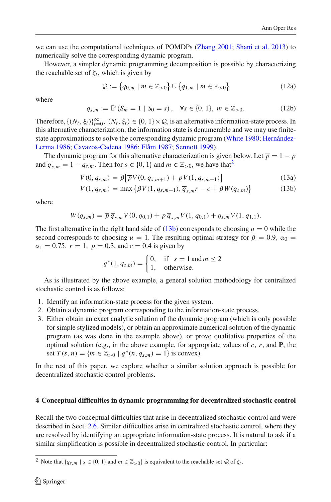we can use the computational techniques of POMDPs [\(Zhang 2001](#page-17-11); [Shani et al. 2013](#page-17-12)) to numerically solve the corresponding dynamic program.

However, a simpler dynamic programming decomposition is possible by characterizing the reachable set of  $\xi_t$ , which is given by

<span id="page-7-3"></span>
$$
\mathcal{Q} := \{q_{0,m} \mid m \in \mathbb{Z}_{>0}\} \cup \{q_{1,m} \mid m \in \mathbb{Z}_{>0}\}
$$
 (12a)

where

$$
q_{s,m} := \mathbb{P}\left(S_m = 1 \mid S_0 = s\right), \quad \forall s \in \{0, 1\}, \ m \in \mathbb{Z}_{>0}.\tag{12b}
$$

Therefore,  $\{(N_t, \xi_t)\}_{t=0}^{\infty}$ ,  $(N_t, \xi_t) \in \{0, 1\} \times Q$ , is an alternative information-state process. In this alternative characterization, the information state is denumerable and we may use finitestate a[pproximations to solve the corresponding dynamic program](#page-16-7) [\(White 1980](#page-17-13)[;](#page-16-7) Hernández-Lerma [1986](#page-16-7); [Cavazos-Cadena 1986;](#page-16-8) [Flåm 1987](#page-16-9); [Sennott 1999\)](#page-17-14).

<span id="page-7-1"></span>The dynamic program for this alternative characterization is given below. Let  $\overline{p} = 1 - p$ and  $\overline{q}_{s,m} = 1 - q_{s,m}$ . Then for  $s \in \{0, 1\}$  and  $m \in \mathbb{Z}_{>0}$ , we have that<sup>[2](#page-7-0)</sup>

$$
V(0, q_{s,m}) = \beta \left[ \overline{p} V(0, q_{s,m+1}) + p V(1, q_{s,m+1}) \right]
$$
(13a)

$$
V(1, q_{s,m}) = \max \{ \beta V(1, q_{s,m+1}), \overline{q}_{s,m}r - c + \beta W(q_{s,m}) \}
$$
(13b)

where

$$
W(q_{s,m}) = \overline{p} \, \overline{q}_{s,m} V(0, q_{0,1}) + p \, \overline{q}_{s,m} V(1, q_{0,1}) + q_{s,m} V(1, q_{1,1}).
$$

The first alternative in the right hand side of  $(13b)$  corresponds to choosing  $u = 0$  while the second corresponds to choosing  $u = 1$ . The resulting optimal strategy for  $\beta = 0.9$ ,  $\alpha_0 =$  $\alpha_1 = 0.75$ ,  $r = 1$ ,  $p = 0.3$ , and  $c = 0.4$  is given by

$$
g^*(1, q_{s,m}) = \begin{cases} 0, & \text{if } s = 1 \text{ and } m \le 2\\ 1, & \text{otherwise.} \end{cases}
$$

As is illustrated by the above example, a general solution methodology for centralized stochastic control is as follows:

- 1. Identify an information-state process for the given system.
- 2. Obtain a dynamic program corresponding to the information-state process.
- 3. Either obtain an exact analytic solution of the dynamic program (which is only possible for simple stylized models), or obtain an approximate numerical solution of the dynamic program (as was done in the example above), or prove qualitative properties of the optimal solution (e.g., in the above example, for appropriate values of *c*, *r*, and **P**, the set  $T(s, n) = \{m \in \mathbb{Z}_{>0} \mid g^*(n, q_{s,m}) = 1\}$  is convex).

In the rest of this paper, we explore whether a similar solution approach is possible for decentralized stochastic control problems.

#### <span id="page-7-2"></span>**4 Conceptual difficulties in dynamic programming for decentralized stochastic control**

Recall the two conceptual difficulties that arise in decentralized stochastic control and were described in Sect. [2.6.](#page-3-0) Similar difficulties arise in centralized stochastic control, where they are resolved by identifying an appropriate information-state process. It is natural to ask if a similar simplification is possible in decentralized stochastic control. In particular:

<span id="page-7-0"></span><sup>&</sup>lt;sup>2</sup> Note that  ${q_{s,m} \mid s \in \{0, 1\} \text{ and } m \in \mathbb{Z}_{>0}}$  is equivalent to the reachable set  $\mathcal Q$  of  $\xi_t$ .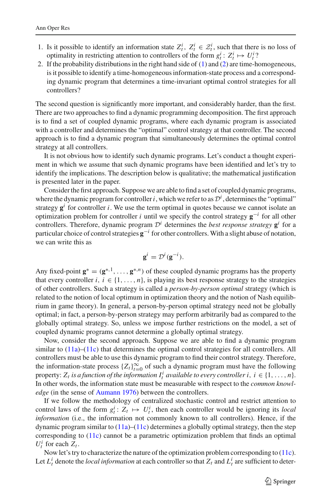- 1. Is it possible to identify an information state  $Z_t^i$ ,  $Z_t^i \in \mathcal{Z}_t^i$ , such that there is no loss of optimality in restricting attention to controllers of the form  $g_t^i: Z_t^i \mapsto U_t^i$ ?
- 2. If the probability distributions in the right hand side of [\(1\)](#page-1-0) and [\(2\)](#page-2-0) are time-homogeneous, is it possible to identify a time-homogeneous information-state process and a corresponding dynamic program that determines a time-invariant optimal control strategies for all controllers?

The second question is significantly more important, and considerably harder, than the first. There are two approaches to find a dynamic programming decomposition. The first approach is to find a set of coupled dynamic programs, where each dynamic program is associated with a controller and determines the "optimal" control strategy at that controller. The second approach is to find a dynamic program that simultaneously determines the optimal control strategy at all controllers.

It is not obvious how to identify such dynamic programs. Let's conduct a thought experiment in which we assume that such dynamic programs have been identified and let's try to identify the implications. The description below is qualitative; the mathematical justification is presented later in the paper.

Consider the first approach. Suppose we are able to find a set of coupled dynamic programs, where the dynamic program for controller *i*, which we refer to as  $\mathcal{D}^i$ , determines the "optimal" strategy  $g^i$  for controller *i*. We use the term optimal in quotes because we cannot isolate an optimization problem for controller *i* until we specify the control strategy **g** −*i* for all other controllers. Therefore, dynamic program  $\mathcal{D}^i$  determines the *best response strategy*  $\mathbf{g}^i$  for a particular choice of control strategies  $g^{-i}$  for other controllers. With a slight abuse of notation, we can write this as

$$
\mathbf{g}^i = \mathcal{D}^i(\mathbf{g}^{-i}).
$$

Any fixed-point  $\mathbf{g}^* = (\mathbf{g}^{*,1}, \dots, \mathbf{g}^{*,n})$  of these coupled dynamic programs has the property that every controller *i*,  $i \in \{1, \ldots, n\}$ , is playing its best response strategy to the strategies of other controllers. Such a strategy is called a *person-by-person optimal* strategy (which is related to the notion of local optimum in optimization theory and the notion of Nash equilibrium in game theory). In general, a person-by-person optimal strategy need not be globally optimal; in fact, a person-by-person strategy may perform arbitrarily bad as compared to the globally optimal strategy. So, unless we impose further restrictions on the model, a set of coupled dynamic programs cannot determine a globally optimal strategy.

Now, consider the second approach. Suppose we are able to find a dynamic program similar to  $(11a)$ – $(11c)$  that determines the optimal control strategies for all controllers. All controllers must be able to use this dynamic program to find their control strategy. Therefore, the information-state process  $\{Z_t\}_{t=0}^{\infty}$  of such a dynamic program must have the following property:  $Z_t$  *is a function of the information*  $I_t^i$  *available to every controller i*,  $i \in \{1, ..., n\}$ . In other words, the information state must be measurable with respect to the *common knowledge* (in the sense of [Aumann 1976](#page-16-10)) between the controllers.

If we follow the methodology of centralized stochastic control and restrict attention to control laws of the form  $g_t^i: Z_t \mapsto U_t^i$ , then each controller would be ignoring its *local information* (i.e., the information not commonly known to all controllers). Hence, if the dynamic program similar to [\(11a\)](#page-5-4)–[\(11c\)](#page-5-5) determines a globally optimal strategy, then the step corresponding to [\(11c\)](#page-5-5) cannot be a parametric optimization problem that finds an optimal  $U_t^i$  for each  $Z_t$ .

Now let's try to characterize the nature of the optimization problem corresponding to [\(11c\)](#page-5-5). Let  $L_t^i$  denote the *local information* at each controller so that  $Z_t$  and  $L_t^i$  are sufficient to deter-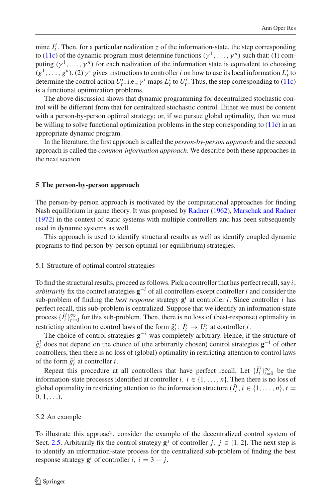mine  $I_t^i$ . Then, for a particular realization *z* of the information-state, the step corresponding to [\(11c\)](#page-5-5) of the dynamic program must determine functions  $(\gamma^1, \dots, \gamma^n)$  such that: (1) computing  $(\gamma^1, \ldots, \gamma^n)$  for each realization of the information state is equivalent to choosing  $(g<sup>1</sup>,..., g<sup>n</sup>)$ . (2)  $\gamma<sup>i</sup>$  gives instructions to controller *i* on how to use its local information  $L<sup>i</sup><sub>t</sub>$  to determine the control action  $U_t^i$ , i.e.,  $\gamma^i$  maps  $L_t^i$  to  $U_t^i$ . Thus, the step corresponding to [\(11c\)](#page-5-5) is a functional optimization problems.

The above discussion shows that dynamic programming for decentralized stochastic control will be different from that for centralized stochastic control. Either we must be content with a person-by-person optimal strategy; or, if we pursue global optimality, then we must be willing to solve functional optimization problems in the step corresponding to [\(11c\)](#page-5-5) in an appropriate dynamic program.

In the literature, the first approach is called the *person-by-person approach* and the second approach is called the *common-information approach*. We describe both these approaches in the next section.

## **5 The person-by-person approach**

The person-by-person approach is motivated by the computational approaches for finding Nash equilibrium in game theory. It was proposed by [Radner](#page-17-3) [\(1962](#page-17-3)), [Marschak and Radner](#page-17-4) [\(1972](#page-17-4)) in the context of static systems with multiple controllers and has been subsequently used in dynamic systems as well.

This approach is used to identify structural results as well as identify coupled dynamic programs to find person-by-person optimal (or equilibrium) strategies.

## 5.1 Structure of optimal control strategies

To find the structural results, proceed as follows. Pick a controller that has perfect recall, say *i*; *arbitrarily* fix the control strategies  $\mathbf{g}^{-i}$  of all controllers except controller *i* and consider the sub-problem of finding the *best response* strategy  $g^i$  at controller *i*. Since controller *i* has perfect recall, this sub-problem is centralized. Suppose that we identify an information-state process  $\{\tilde{I}_t^i\}_{t=0}^{\infty}$  for this sub-problem. Then, there is no loss of (best-response) optimality in restricting attention to control laws of the form  $\tilde{g}_t^i$ :  $\tilde{I}_t^i \rightarrow U_t^i$  at controller *i*.

The choice of control strategies  $\mathbf{g}^{-i}$  was completely arbitrary. Hence, if the structure of  $\tilde{g}^i_t$  does not depend on the choice of (the arbitrarily chosen) control strategies  $\mathbf{g}^{-i}$  of other controllers, then there is no loss of (global) optimality in restricting attention to control laws of the form  $\tilde{g}^i_t$  at controller *i*.

Repeat this procedure at all controllers that have perfect recall. Let  $\{I_t^i\}_{t=0}^\infty$  be the information-state processes identified at controller  $i, i \in \{1, \ldots, n\}$ . Then there is no loss of global optimality in restricting attention to the information structure  $(\tilde{I}_t^i, i \in \{1, ..., n\}, t =$  $0, 1, \ldots$ .

## <span id="page-9-0"></span>5.2 An example

To illustrate this approach, consider the example of the decentralized control system of Sect. [2.5.](#page-3-1) Arbitrarily fix the control strategy  $g^j$  of controller *j*,  $j \in \{1, 2\}$ . The next step is to identify an information-state process for the centralized sub-problem of finding the best response strategy  $g^i$  of controller *i*,  $i = 3 - j$ .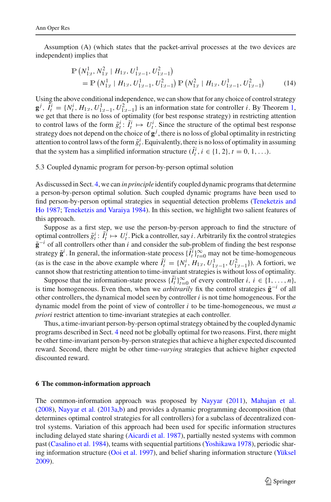<span id="page-10-0"></span>Assumption (A) (which states that the packet-arrival processes at the two devices are independent) implies that

$$
\mathbb{P}\left(N_{1:t}^1, N_{1:t}^2 \mid H_{1:t}, U_{1:t-1}^1, U_{1:t-1}^2\right) \n= \mathbb{P}\left(N_{1:t}^1 \mid H_{1:t}, U_{1:t-1}^1, U_{1:t-1}^2\right) \mathbb{P}\left(N_{1:t}^2 \mid H_{1:t}, U_{1:t-1}^1, U_{1:t-1}^2\right)
$$
\n(14)

Using the above conditional independence, we can show that for any choice of control strategy  $\mathbf{g}^j$ ,  $\tilde{I}_t^i = \{N_t^i, H_{1:t}, U_{1:t-1}^1, U_{1:t-1}^2\}$  $\tilde{I}_t^i = \{N_t^i, H_{1:t}, U_{1:t-1}^1, U_{1:t-1}^2\}$  $\tilde{I}_t^i = \{N_t^i, H_{1:t}, U_{1:t-1}^1, U_{1:t-1}^2\}$  is an information state for controller *i*. By Theorem 1, we get that there is no loss of optimality (for best response strategy) in restricting attention to control laws of the form  $\tilde{g}^i_t: \tilde{I}^i_t \mapsto U^i_t$ . Since the structure of the optimal best response strategy does not depend on the choice of **g** *j* , there is no loss of global optimality in restricting attention to control laws of the form  $\tilde{g}^i_t$ . Equivalently, there is no loss of optimality in assuming that the system has a simplified information structure  $(\tilde{I}_t^i, i \in \{1, 2\}, t = 0, 1, \ldots)$ .

## 5.3 Coupled dynamic program for person-by-person optimal solution

As discussed in Sect. [4,](#page-7-2) we can *in principle* identify coupled dynamic programs that determine a person-by-person optimal solution. Such coupled dynamic programs have been used to fin[d person-by-person optimal strategies in sequential detection problems \(](#page-17-15)Teneketzis and Ho [1987](#page-17-15); [Teneketzis and Varaiya 1984\)](#page-17-16). In this section, we highlight two salient features of this approach.

Suppose as a first step, we use the person-by-person approach to find the structure of optimal controllers  $\tilde{g}^i_t$ :  $\tilde{I}^i_t \mapsto U^i_t$ . Pick a controller, say *i*. Arbitrarily fix the control strategies  $\tilde{\mathbf{g}}^{-i}$  of all controllers other than *i* and consider the sub-problem of finding the best response strategy  $\tilde{\mathbf{g}}^i$ . In general, the information-state process  $\{\tilde{I}_t^i\}_{t=0}^\infty$  may not be time-homogeneous (as is the case in the above example where  $\tilde{I}_t^i = \{N_t^i, H_{1:t}, U_{1:t-1}^1, U_{1:t-1}^2\}$ ). A fortiori, we cannot show that restricting attention to time-invariant strategies is without loss of optimality.

Suppose that the information-state process  $\{\tilde{I}_t^i\}_{t=0}^\infty$  of every controller *i*,  $i \in \{1, \ldots, n\}$ , is time homogeneous. Even then, when we *arbitrarily* fix the control strategies  $\tilde{\mathbf{g}}^{-i}$  of all other controllers, the dynamical model seen by controller *i* is not time homogeneous. For the dynamic model from the point of view of controller *i* to be time-homogeneous, we must *a priori* restrict attention to time-invariant strategies at each controller.

Thus, a time-invariant person-by-person optimal strategy obtained by the coupled dynamic programs described in Sect. [4](#page-7-2) need not be globally optimal for two reasons. First, there might be other time-invariant person-by-person strategies that achieve a higher expected discounted reward. Second, there might be other time-*varying* strategies that achieve higher expected discounted reward.

## **6 The common-information approach**

The common-information approach was proposed by [Nayyar](#page-17-17) [\(2011\)](#page-17-17), [Mahajan et al.](#page-16-11) [\(2008](#page-16-11)), [Nayyar et al.](#page-17-18) [\(2013a](#page-17-18)[,b](#page-17-19)) and provides a dynamic programming decomposition (that determines optimal control strategies for all controllers) for a subclass of decentralized control systems. Variation of this approach had been used for specific information structures including delayed state sharing [\(Aicardi et al. 1987](#page-16-12)), partially nested systems with common past [\(Casalino et al. 1984](#page-16-13)), teams with sequential partitions [\(Yoshikawa 1978](#page-17-20)), periodic sharing information structure [\(Ooi et al. 1997\)](#page-17-21), and belief sharing information structure [\(Yüksel](#page-17-22) [2009](#page-17-22)).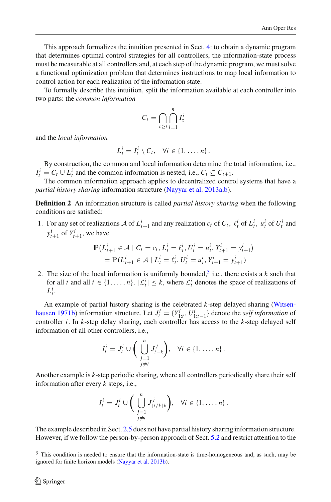This approach formalizes the intuition presented in Sect. [4:](#page-7-2) to obtain a dynamic program that determines optimal control strategies for all controllers, the information-state process must be measurable at all controllers and, at each step of the dynamic program, we must solve a functional optimization problem that determines instructions to map local information to control action for each realization of the information state.

To formally describe this intuition, split the information available at each controller into two parts: the *common information*

$$
C_t = \bigcap_{\tau \ge t} \bigcap_{i=1}^n I_{\tau}^i
$$

and the *local information*

$$
L_t^i = I_t^i \setminus C_t, \quad \forall i \in \{1, \ldots, n\}.
$$

By construction, the common and local information determine the total information, i.e.,  $I_t^i = C_t \cup L_t^i$  and the common information is nested, i.e.,  $C_t \subseteq C_{t+1}$ .

The common information approach applies to decentralized control systems that have a *partial history sharing* information structure [\(Nayyar et al. 2013a](#page-17-18)[,b](#page-17-19)).

**Definition 2** An information structure is called *partial history sharing* when the following conditions are satisfied:

1. For any set of realizations A of  $L_{t+1}^i$  and any realization  $c_t$  of  $C_t$ ,  $\ell_t^i$  of  $L_t^i$ ,  $u_t^i$  of  $U_t^i$  and  $y_{t+1}^i$  of  $Y_{t+1}^i$ , we have

$$
\mathbb{P}\big(L_{t+1}^i \in \mathcal{A} \mid C_t = c_t, L_t^i = \ell_t^i, U_t^i = u_t^i, Y_{t+1}^i = y_{t+1}^i\big) \n= \mathbb{P}(L_{t+1}^i \in \mathcal{A} \mid L_t^i = \ell_t^i, U_t^i = u_t^i, Y_{t+1}^i = y_{t+1}^i)
$$

2. The size of the local information is uniformly bounded,<sup>[3](#page-11-0)</sup> i.e., there exists a  $k$  such that for all *t* and all  $i \in \{1, ..., n\}$ ,  $|\mathcal{L}_t^i| \leq k$ , where  $\mathcal{L}_t^i$  denotes the space of realizations of  $L_t^i$ .

An [example of partial history sharing is the celebrated](#page-17-6) *k*-step delayed sharing (Witsen-hausen [1971b\)](#page-17-6) information structure. Let  $J_t^i = \{Y_{1:t}^i, U_{1:t-1}^i\}$  denote the *self information* of controller *i*. In *k*-step delay sharing, each controller has access to the *k*-step delayed self information of all other controllers, i.e.,

$$
I_t^i = J_t^i \cup \bigg( \bigcup_{\substack{j=1 \ j \neq i}}^n J_{t-k}^j \bigg), \quad \forall i \in \{1, \dots, n\}.
$$

Another example is *k*-step periodic sharing, where all controllers periodically share their self information after every *k* steps, i.e.,

$$
I_t^i = J_t^i \cup \bigg( \bigcup_{\substack{j=1 \ j \neq i}}^n J_{\lfloor t/k \rfloor k}^j \bigg), \quad \forall i \in \{1, \dots, n\}.
$$

The example described in Sect. [2.5](#page-3-1) does not have partial history sharing information structure. However, if we follow the person-by-person approach of Sect. [5.2](#page-9-0) and restrict attention to the

<span id="page-11-0"></span><sup>&</sup>lt;sup>3</sup> This condition is needed to ensure that the information-state is time-homogeneous and, as such, may be ignored for finite horizon models [\(Nayyar et al. 2013b](#page-17-19)).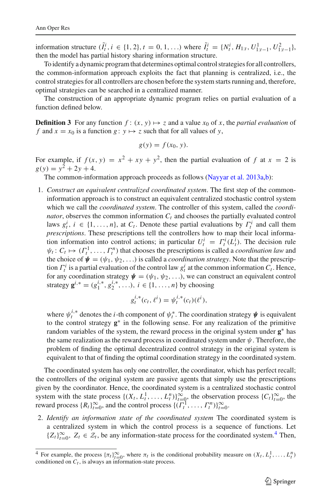information structure  $(\tilde{I}_t^i, i \in \{1, 2\}, t = 0, 1, \ldots)$  where  $\tilde{I}_t^i = \{N_t^i, H_{1:t}, U_{1:t-1}^1, U_{1:t-1}^2\}$ , then the model has partial history sharing information structure.

To identify a dynamic program that determines optimal control strategies for all controllers, the common-information approach exploits the fact that planning is centralized, i.e., the control strategies for all controllers are chosen before the system starts running and, therefore, optimal strategies can be searched in a centralized manner.

The construction of an appropriate dynamic program relies on partial evaluation of a function defined below.

**Definition 3** For any function  $f: (x, y) \mapsto z$  and a value  $x_0$  of x, the *partial evaluation* of *f* and  $x = x_0$  is a function  $g: y \mapsto z$  such that for all values of *y*,

$$
g(y) = f(x_0, y).
$$

For example, if  $f(x, y) = x^2 + xy + y^2$ , then the partial evaluation of f at  $x = 2$  is  $g(y) = y^2 + 2y + 4.$ 

The common-information approach proceeds as follows [\(Nayyar et al. 2013a](#page-17-18)[,b](#page-17-19)):

1. *Construct an equivalent centralized coordinated system*. The first step of the commoninformation approach is to construct an equivalent centralized stochastic control system which we call the *coordinated system*. The controller of this system, called the *coordinator*, observes the common information *C<sup>t</sup>* and chooses the partially evaluated control laws  $g_t^i$ ,  $i \in \{1, ..., n\}$ , at  $C_t$ . Denote these partial evaluations by  $\Gamma_t^i$  and call them *prescriptions*. These prescriptions tell the controllers how to map their local information information into control actions; in particular  $U_t^i = \Gamma_t^i(L_t^i)$ . The decision rule  $\psi_t: C_t \mapsto (\Gamma_t^1, \ldots, \Gamma_t^n)$  that chooses the prescriptions is called a *coordination law* and the choice of  $\mathbf{\psi} = (\psi_1, \psi_2, \ldots)$  is called a *coordination strategy*. Note that the prescription  $\Gamma_t^i$  is a partial evaluation of the control law  $g_t^i$  at the common information  $C_t$ . Hence, for any coordination strategy  $\psi = (\psi_1, \psi_2, \ldots)$ , we can construct an equivalent control strategy  $\mathbf{g}^{i,*} = (g_1^{i,*}, g_2^{i,*}, \ldots), i \in \{1, \ldots, n\}$  by choosing

$$
g_t^{i,*}(c_t, \ell^i) = \psi_t^{i,*}(c_t)(\ell^i),
$$

where  $\psi_t^{i,*}$  denotes the *i*-th component of  $\psi_t^*$ . The coordination strategy  $\psi$  is equivalent to the control strategy **g**<sup>\*</sup> in the following sense. For any realization of the primitive random variables of the system, the reward process in the original system under **g**<sup>\*</sup> has the same realization as the reward process in coordinated system under  $\psi$ . Therefore, the problem of finding the optimal decentralized control strategy in the original system is equivalent to that of finding the optimal coordination strategy in the coordinated system.

The coordinated system has only one controller, the coordinator, which has perfect recall; the controllers of the original system are passive agents that simply use the prescriptions given by the coordinator. Hence, the coordinated system is a centralized stochastic control system with the state process  $\{(X_t, L_t^1, \ldots, L_t^n)\}_{t=0}^{\infty}$ , the observation process  $\{C_t\}_{t=0}^{\infty}$ , the reward process  $\{R_t\}_{t=0}^{\infty}$ , and the control process  $\{(T_t^1, \ldots, T_t^n)\}_{t=0}^{\infty}$ .

2. *Identify an information state of the coordinated system* The coordinated system is a centralized system in which the control process is a sequence of functions. Let  ${Z_t}_{t=0}^{\infty}$ ,  $Z_t \in \mathcal{Z}_t$ , be any information-state process for the coordinated system.<sup>[4](#page-12-0)</sup> Then,

<span id="page-12-0"></span><sup>&</sup>lt;sup>4</sup> For example, the process  $\{\pi_t\}_{t=0}^{\infty}$ , where  $\pi_t$  is the conditional probability measure on  $(X_t, L_t^1, \ldots, L_t^n)$ conditioned on  $C_t$ , is always an information-state process.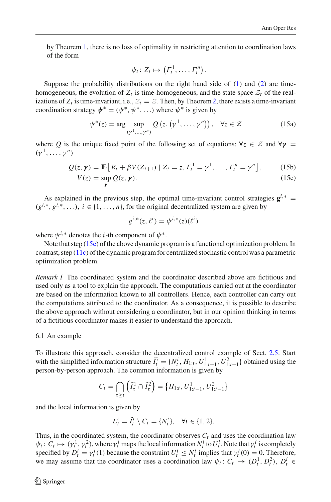by Theorem [1,](#page-5-6) there is no loss of optimality in restricting attention to coordination laws of the form

$$
\psi_t\colon Z_t\mapsto \left(\Gamma_t^1,\ldots,\Gamma_t^n\right).
$$

Suppose the probability distributions on the right hand side of  $(1)$  and  $(2)$  are timehomogeneous, the evolution of  $Z_t$  is time-homogeneous, and the state space  $Z_t$  of the realizations of  $Z_t$  is time-invariant, i.e.,  $Z_t = \mathcal{Z}$ . Then, by Theorem [2,](#page-5-7) there exists a time-invariant coordination strategy  $\boldsymbol{\psi}^* = (\psi^*, \psi^*, \ldots)$  where  $\psi^*$  is given by

$$
\psi^*(z) = \arg \sup_{(\gamma^1, \dots, \gamma^n)} Q(z, (\gamma^1, \dots, \gamma^n)), \quad \forall z \in \mathcal{Z}
$$
 (15a)

<span id="page-13-0"></span>where Q is the unique fixed point of the following set of equations:  $\forall z \in \mathcal{Z}$  and  $\forall y =$  $(\gamma^1,\ldots,\gamma^n)$ 

$$
Q(z, \gamma) = \mathbb{E}\left[R_t + \beta V(Z_{t+1}) \mid Z_t = z, \Gamma_t^1 = \gamma^1, \dots, \Gamma_t^n = \gamma^n\right],\tag{15b}
$$
  

$$
V(z) = \sup Q(z, \gamma).
$$
 (15c)

As explained in the previous step, the optimal time-invariant control strategies  $\mathbf{g}^{i,*}$  =  $(g^{i,*}, g^{i,*}, \ldots), i \in \{1, \ldots, n\}$ , for the original decentralized system are given by

$$
g^{i,*}(z, \ell^i) = \psi^{i,*}(z)(\ell^i)
$$

where  $\psi^{i,*}$  denotes the *i*-th component of  $\psi^*$ .

γ

Note that step [\(15c\)](#page-13-0) of the above dynamic program is a functional optimization problem. In contrast, step [\(11c\)](#page-5-5) of the dynamic program for centralized stochastic control was a parametric optimization problem.

*Remark 1* The coordinated system and the coordinator described above are fictitious and used only as a tool to explain the approach. The computations carried out at the coordinator are based on the information known to all controllers. Hence, each controller can carry out the computations attributed to the coordinator. As a consequence, it is possible to describe the above approach without considering a coordinator, but in our opinion thinking in terms of a fictitious coordinator makes it easier to understand the approach.

#### 6.1 An example

To illustrate this approach, consider the decentralized control example of Sect. [2.5.](#page-3-1) Start with the simplified information structure  $\tilde{I}_t^i = \{N_t^i, H_{1:t}, U_{1:t-1}^1, U_{1:t-1}^2\}$  obtained using the person-by-person approach. The common information is given by

$$
C_t = \bigcap_{\tau \ge t} \left(\tilde{I}_\tau^1 \cap \tilde{I}_\tau^2\right) = \left\{H_{1:t}, U_{1:t-1}^1, U_{1:t-1}^2\right\}
$$

and the local information is given by

$$
L_t^i = \tilde{I}_t^i \setminus C_t = \{N_t^i\}, \quad \forall i \in \{1, 2\}.
$$

Thus, in the coordinated system, the coordinator observes  $C<sub>t</sub>$  and uses the coordination law  $\psi_t: C_t \mapsto (\gamma_t^1, \gamma_t^2)$ , where  $\gamma_t^i$  maps the local information  $N_t^i$  to  $U_t^i$ . Note that  $\gamma_t^i$  is completely specified by  $D_t^i = \gamma_t^i(1)$  because the constraint  $U_t^i \le N_t^i$  implies that  $\gamma_t^i(0) = 0$ . Therefore, we may assume that the coordinator uses a coordination law  $\psi_t: C_t \mapsto (D_t^1, D_t^2), D_t^i \in$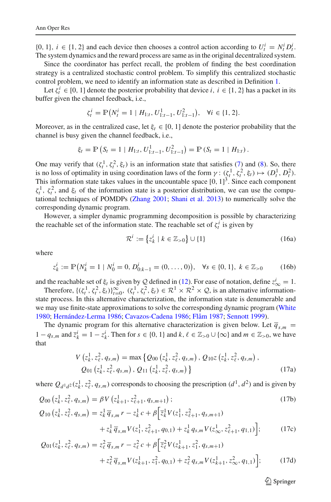{0, 1},  $i \in \{1, 2\}$  and each device then chooses a control action according to  $U_t^i = N_t^i D_t^i$ . The system dynamics and the reward process are same as in the original decentralized system.

Since the coordinator has perfect recall, the problem of finding the best coordination strategy is a centralized stochastic control problem. To simplify this centralized stochastic control problem, we need to identify an information state as described in Definition [1.](#page-4-0)

Let  $\zeta_i^i \in [0, 1]$  denote the posterior probability that device *i*,  $i \in \{1, 2\}$  has a packet in its buffer given the channel feedback, i.e.,

$$
\zeta_t^i = \mathbb{P}\big(N_t^i = 1 \mid H_{1:t}, U_{1:t-1}^1, U_{1:t-1}^2\big), \quad \forall i \in \{1, 2\}.
$$

Moreover, as in the centralized case, let  $\xi_t \in [0, 1]$  denote the posterior probability that the channel is busy given the channel feedback, i.e.,

$$
\xi_t = \mathbb{P}\left(S_t = 1 \mid H_{1:t}, U_{1:t-1}^1, U_{1:t-1}^2\right) = \mathbb{P}\left(S_t = 1 \mid H_{1:t}\right).
$$

One may verify that  $(\zeta_t^1, \zeta_t^2, \xi_t)$  is an information state that satisfies [\(7\)](#page-4-1) and [\(8\)](#page-5-0). So, there is no loss of optimality in using coordination laws of the form  $\gamma: (\zeta_t^1, \zeta_t^2, \xi_t) \mapsto (D_t^1, D_t^2)$ . This information state takes values in the uncountable space  $[0, 1]^3$ . Since each component  $\zeta_t^1$ ,  $\zeta_t^2$ , and  $\xi_t$  of the information state is a posterior distribution, we can use the computational techniques of POMDPs [\(Zhang 2001;](#page-17-11) [Shani et al. 2013\)](#page-17-12) to numerically solve the corresponding dynamic program.

However, a simpler dynamic programming decomposition is possible by characterizing the reachable set of the information state. The reachable set of  $\zeta_t^i$  is given by

$$
\mathcal{R}^i := \left\{ z_k^i \mid k \in \mathbb{Z}_{>0} \right\} \cup \{1\} \tag{16a}
$$

where

$$
z_k^i := \mathbb{P}(N_k^i = 1 \mid N_0^i = 0, D_{0:k-1}^i = (0, \dots, 0)), \quad \forall s \in \{0, 1\}, \ k \in \mathbb{Z}_{>0}
$$
 (16b)

and the reachable set of  $\xi_t$  is given by Q defined in [\(12\)](#page-7-3). For ease of notation, define  $z^i_\infty = 1$ .

Therefore,  $\{(\zeta_t^1, \zeta_t^2, \xi_t)\}_{t=0}^{\infty}$ ,  $(\zeta_t^1, \zeta_t^2, \xi_t) \in \mathbb{R}^1 \times \mathbb{R}^2 \times \mathcal{Q}$ , is an alternative informationstate process. In this alternative characterization, the information state is denumerable and we may use finite-state approximations to solve the corresponding dynamic program [\(White](#page-17-13) [1980](#page-17-13); [Hernández-Lerma 1986](#page-16-7); [Cavazos-Cadena 1986;](#page-16-8) [Flåm 1987](#page-16-9); [Sennott 1999\)](#page-17-14).

<span id="page-14-0"></span>The dynamic program for this alternative characterization is given below. Let  $\overline{q}_{s,m}$ 1 −  $q_{s,m}$  and  $\overline{z}_k^i = 1 - z_k^i$ . Then for  $s \in \{0, 1\}$  and  $k, \ell \in \mathbb{Z}_{>0} \cup \{\infty\}$  and  $m \in \mathbb{Z}_{>0}$ , we have that

$$
V(z_k^1, z_\ell^2, q_{s,m}) = \max \left\{ Q_{00} \left( z_k^1, z_\ell^2, q_{s,m} \right), Q_{10} z \left( z_k^1, z_\ell^2, q_{s,m} \right), \right.\nQ_{01} \left( z_k^1, z_\ell^2, q_{s,m} \right), Q_{11} \left( z_k^1, z_\ell^2, q_{s,m} \right) \right\}
$$
\n(17a)

where  $Q_{d^1d^2}(z_k^1, z_\ell^2, q_{s,m})$  corresponds to choosing the prescription  $(d^1, d^2)$  and is given by

$$
Q_{00} (z_k^1, z_\ell^2, q_{s,m}) = \beta V (z_{k+1}^1, z_{\ell+1}^2, q_{s,m+1});
$$
  
\n
$$
Q_{10} (z_k^1, z_\ell^2, q_{s,m}) = z_k^1 \overline{q}_{s,m} r - z_k^1 c + \beta \Big[ \overline{z}_k^1 V(z_1^1, z_{\ell+1}^2, q_{s,m+1})
$$
\n
$$
(17b)
$$

$$
z_{\ell}^2, q_{s,m} = z_k^1 \overline{q}_{s,m} r - z_k^1 c + \beta \Big[ \overline{z}_k^1 V(z_1^1, z_{\ell+1}^2, q_{s,m+1}) + z_k^1 \overline{q}_{s,m} V(z_1^1, z_{\ell+1}^2, q_{0,1}) + z_k^1 q_{s,m} V(z_{\infty}^1, z_{\ell+1}^2, q_{1,1}) \Big];
$$
 (17c)

$$
Q_{01}(z_k^1, z_\ell^2, q_{s,m}) = z_\ell^2 \overline{q}_{s,m} r - z_\ell^2 c + \beta \Big[ \overline{z}_\ell^2 V(z_{k+1}^1, z_1^2, q_{s,m+1}) + z_\ell^2 \overline{q}_{s,m} V(z_{k+1}^1, z_1^2, q_{0,1}) + z_\ell^2 q_{s,m} V(z_{k+1}^1, z_\infty^2, q_{1,1}) \Big];
$$
 (17d)

 $\circled{2}$  Springer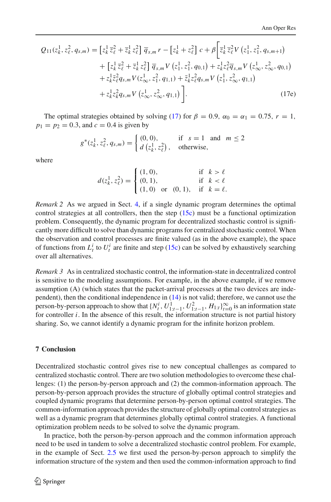$$
Q_{11}(z_k^1, z_\ell^2, q_{s,m}) = \left[z_k^1 \overline{z}_\ell^2 + \overline{z}_k^1 z_\ell^2\right] \overline{q}_{s,m} r - \left[z_k^1 + z_\ell^2\right] c + \beta \left[\overline{z}_k^1 \overline{z}_\ell^2 V\left(z_1^1, z_1^2, q_{s,m+1}\right) + \left[z_k^1 \overline{z}_\ell^2 + \overline{z}_k^1 z_\ell^2\right] \overline{q}_{s,m} V\left(z_1^1, z_1^2, q_{0,1}\right) + z_k^1 z_\ell^2 \overline{q}_{s,m} V\left(z_\infty^1, z_\infty^2, q_{0,1}\right) + z_k^1 z_\ell^2 q_{s,m} V\left(z_1^1, z_\infty^2, q_{1,1}\right) + z_k^1 z_\ell^2 q_{s,m} V\left(z_1^1, z_\infty^2, q_{1,1}\right) + z_k^1 z_k^2 q_{s,m} V\left(z_\infty^1, z_\infty^2, q_{1,1}\right) \right].
$$
\n(17e)

The optimal strategies obtained by solving [\(17\)](#page-14-0) for  $\beta = 0.9$ ,  $\alpha_0 = \alpha_1 = 0.75$ ,  $r = 1$ ,  $p_1 = p_2 = 0.3$ , and  $c = 0.4$  is given by

$$
g^*(z_k^1, z_\ell^2, q_{s,m}) = \begin{cases} (0,0), & \text{if } s = 1 \text{ and } m \le 2\\ d(z_k^1, z_\ell^2), & \text{otherwise,} \end{cases}
$$

where

$$
d(z_k^1, z_\ell^2) = \begin{cases} (1, 0), & \text{if } k > \ell \\ (0, 1), & \text{if } k < \ell \\ (1, 0) \text{ or } (0, 1), & \text{if } k = \ell. \end{cases}
$$

*Remark 2* As we argued in Sect. [4,](#page-7-2) if a single dynamic program determines the optimal control strategies at all controllers, then the step  $(15c)$  must be a functional optimization problem. Consequently, the dynamic program for decentralized stochastic control is significantly more difficult to solve than dynamic programs for centralized stochastic control. When the observation and control processes are finite valued (as in the above example), the space of functions from  $L_t^i$  to  $U_t^i$  are finite and step [\(15c\)](#page-13-0) can be solved by exhaustively searching over all alternatives.

*Remark 3* As in centralized stochastic control, the information-state in decentralized control is sensitive to the modeling assumptions. For example, in the above example, if we remove assumption (A) (which states that the packet-arrival processes at the two devices are independent), then the conditional independence in [\(14\)](#page-10-0) is not valid; therefore, we cannot use the person-by-person approach to show that  $\{N_t^i, U_{1:t-1}^1, U_{1:t-1}^2, H_{1:t}\}_{t=0}^\infty$  is an information state for controller  $i$ . In the absence of this result, the information structure is not partial history sharing. So, we cannot identify a dynamic program for the infinite horizon problem.

# **7 Conclusion**

Decentralized stochastic control gives rise to new conceptual challenges as compared to centralized stochastic control. There are two solution methodologies to overcome these challenges: (1) the person-by-person approach and (2) the common-information approach. The person-by-person approach provides the structure of globally optimal control strategies and coupled dynamic programs that determine person-by-person optimal control strategies. The common-information approach provides the structure of globally optimal control strategies as well as a dynamic program that determines globally optimal control strategies. A functional optimization problem needs to be solved to solve the dynamic program.

In practice, both the person-by-person approach and the common information approach need to be used in tandem to solve a decentralized stochastic control problem. For example, in the example of Sect. [2.5](#page-3-1) we first used the person-by-person approach to simplify the information structure of the system and then used the common-information approach to find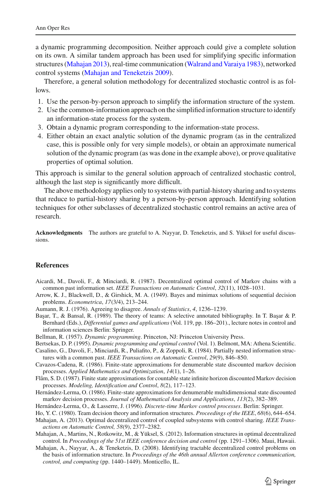a dynamic programming decomposition. Neither approach could give a complete solution on its own. A similar tandem approach has been used for simplifying specific information structures [\(Mahajan 2013](#page-16-14)), real-time communication [\(Walrand and Varaiya 1983](#page-17-23)), networked control systems [\(Mahajan and Teneketzis 2009\)](#page-17-24).

Therefore, a general solution methodology for decentralized stochastic control is as follows.

- 1. Use the person-by-person approach to simplify the information structure of the system.
- 2. Use the common-information approach on the simplified information structure to identify an information-state process for the system.
- 3. Obtain a dynamic program corresponding to the information-state process.
- 4. Either obtain an exact analytic solution of the dynamic program (as in the centralized case, this is possible only for very simple models), or obtain an approximate numerical solution of the dynamic program (as was done in the example above), or prove qualitative properties of optimal solution.

This approach is similar to the general solution approach of centralized stochastic control, although the last step is significantly more difficult.

The above methodology applies only to systems with partial-history sharing and to systems that reduce to partial-history sharing by a person-by-person approach. Identifying solution techniques for other subclasses of decentralized stochastic control remains an active area of research.

**Acknowledgments** The authors are grateful to A. Nayyar, D. Teneketzis, and S. Yüksel for useful discussions.

## **References**

- <span id="page-16-12"></span>Aicardi, M., Davoli, F., & Minciardi, R. (1987). Decentralized optimal control of Markov chains with a common past information set. *IEEE Transactions on Automatic Control*, *32*(11), 1028–1031.
- <span id="page-16-0"></span>Arrow, K. J., Blackwell, D., & Girshick, M. A. (1949). Bayes and minimax solutions of sequential decision problems. *Econometrica*, *17*(3/4), 213–244.
- <span id="page-16-10"></span>Aumann, R. J. (1976). Agreeing to disagree. *Annals of Statistics*, *4*, 1236–1239.
- <span id="page-16-3"></span>Başar, T., & Bansal, R. (1989). The theory of teams: A selective annotated bibliography. In T. Başar & P. Bernhard (Eds.), *Differential games and applications* (Vol. 119, pp. 186–201)., lecture notes in control and information sciences Berlin: Springer.

<span id="page-16-2"></span>Bellman, R. (1957). *Dynamic programming*. Princeton, NJ: Princeton University Press.

- <span id="page-16-1"></span>Bertsekas, D. P. (1995). *Dynamic programming and optimal control* (Vol. 1). Belmont, MA: Athena Scientific.
- <span id="page-16-13"></span>Casalino, G., Davoli, F., Minciardi, R., Puliafito, P., & Zoppoli, R. (1984). Partially nested information structures with a common past. *IEEE Transactions on Automatic Control*, *29*(9), 846–850.
- <span id="page-16-8"></span>Cavazos-Cadena, R. (1986). Finite-state approximations for denumerable state discounted markov decision processes. *Applied Mathematics and Optimization*, *14*(1), 1–26.

<span id="page-16-9"></span>Flåm, S. D. (1987). Finite state approximations for countable state infinite horizon discounted Markov decision processes. *Modeling, Identification and Control*, *8*(2), 117–123.

- <span id="page-16-7"></span>Hernández-Lerma, O. (1986). Finite-state approximations for denumerable multidimensional state discounted markov decision processes. *Journal of Mathematical Analysis and Applications*, *113*(2), 382–389.
- <span id="page-16-6"></span><span id="page-16-4"></span>Hernández-Lerma, O., & Lasserre, J. (1996). *Discrete-time Markov control processes*. Berlin: Springer.
- Ho, Y. C. (1980). Team decision theory and information structures. *Proceedings of the IEEE*, *68*(6), 644–654.
- <span id="page-16-14"></span>Mahajan, A. (2013). Optimal decentralized control of coupled subsystems with control sharing. *IEEE Transactions on Automatic Control, 58*(9), 2377–2382.
- <span id="page-16-5"></span>Mahajan, A., Martins, N., Rotkowitz, M., & Yüksel, S. (2012). Information structures in optimal decentralized control. In *Proceedings of the 51st IEEE conference decision and control* (pp. 1291–1306). Maui, Hawaii.
- <span id="page-16-11"></span>Mahajan, A., Nayyar, A., & Teneketzis, D. (2008). Identifying tractable decentralized control problems on the basis of information structure. In *Proceedings of the 46th annual Allerton conference communication, control, and computing* (pp. 1440–1449). Monticello, IL.